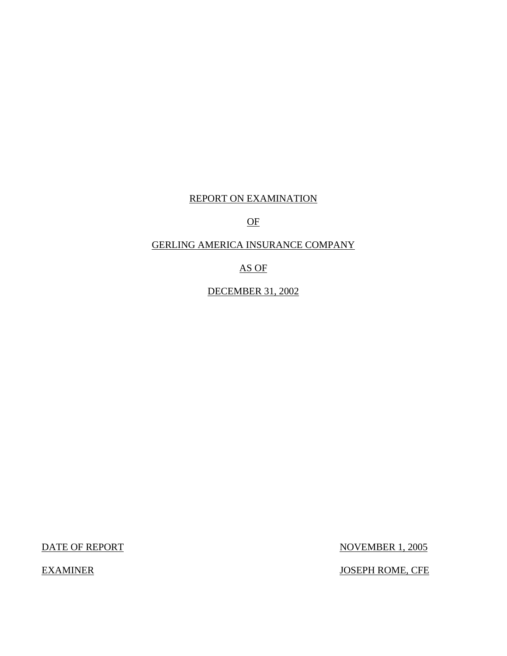# REPORT ON EXAMINATION

# OF

## GERLING AMERICA INSURANCE COMPANY

## AS OF

DECEMBER 31, 2002

DATE OF REPORT

**EXAMINER** 

NOVEMBER 1, 2005

JOSEPH ROME, CFE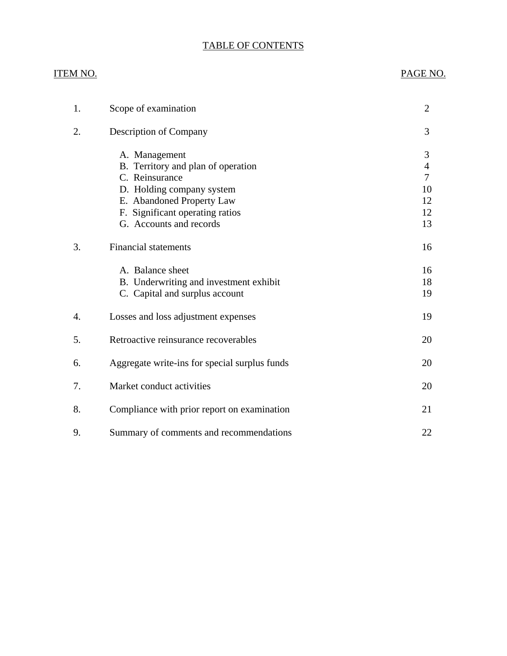# TABLE OF CONTENTS

| ITEM NO. |                                                                       | PAGE NO.                              |
|----------|-----------------------------------------------------------------------|---------------------------------------|
| 1.       | Scope of examination                                                  | $\overline{2}$                        |
| 2.       | Description of Company                                                | 3                                     |
|          | A. Management<br>B. Territory and plan of operation<br>C. Reinsurance | 3<br>$\overline{4}$<br>$\overline{7}$ |
|          | D. Holding company system                                             | 10                                    |
|          | E. Abandoned Property Law                                             | 12                                    |
|          | F. Significant operating ratios                                       | 12                                    |
|          | G. Accounts and records                                               | 13                                    |
| 3.       | <b>Financial statements</b>                                           | 16                                    |
|          | A. Balance sheet                                                      | 16                                    |
|          | B. Underwriting and investment exhibit                                | 18                                    |
|          | C. Capital and surplus account                                        | 19                                    |
| 4.       | Losses and loss adjustment expenses                                   | 19                                    |
| 5.       | Retroactive reinsurance recoverables                                  | 20                                    |
| 6.       | Aggregate write-ins for special surplus funds                         | 20                                    |
| 7.       | Market conduct activities                                             | 20                                    |
| 8.       | Compliance with prior report on examination                           | 21                                    |
| 9.       | Summary of comments and recommendations                               | 22                                    |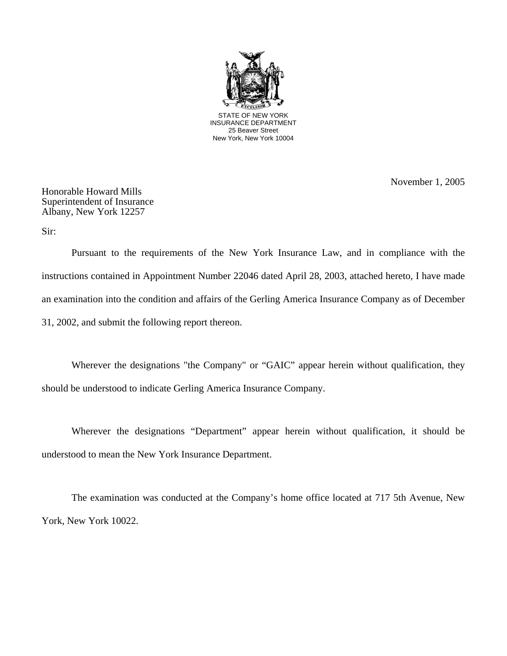

November 1, 2005

Honorable Howard Mills Superintendent of Insurance Albany, New York 12257

Sir:

Pursuant to the requirements of the New York Insurance Law, and in compliance with the instructions contained in Appointment Number 22046 dated April 28, 2003, attached hereto, I have made an examination into the condition and affairs of the Gerling America Insurance Company as of December 31, 2002, and submit the following report thereon.

Wherever the designations "the Company" or "GAIC" appear herein without qualification, they should be understood to indicate Gerling America Insurance Company.

Wherever the designations "Department" appear herein without qualification, it should be understood to mean the New York Insurance Department.

The examination was conducted at the Company's home office located at 717 5th Avenue, New York, New York 10022.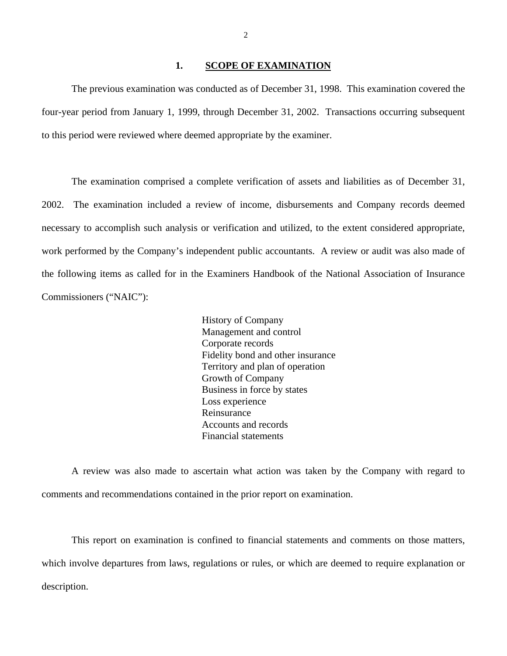#### **1. SCOPE OF EXAMINATION**

<span id="page-3-0"></span>The previous examination was conducted as of December 31, 1998. This examination covered the four-year period from January 1, 1999, through December 31, 2002. Transactions occurring subsequent to this period were reviewed where deemed appropriate by the examiner.

The examination comprised a complete verification of assets and liabilities as of December 31, 2002. The examination included a review of income, disbursements and Company records deemed necessary to accomplish such analysis or verification and utilized, to the extent considered appropriate, work performed by the Company's independent public accountants. A review or audit was also made of the following items as called for in the Examiners Handbook of the National Association of Insurance Commissioners ("NAIC"):

> History of Company Management and control Corporate records Fidelity bond and other insurance Territory and plan of operation Growth of Company Business in force by states Loss experience Reinsurance Accounts and records Financial statements

A review was also made to ascertain what action was taken by the Company with regard to comments and recommendations contained in the prior report on examination.

This report on examination is confined to financial statements and comments on those matters, which involve departures from laws, regulations or rules, or which are deemed to require explanation or description.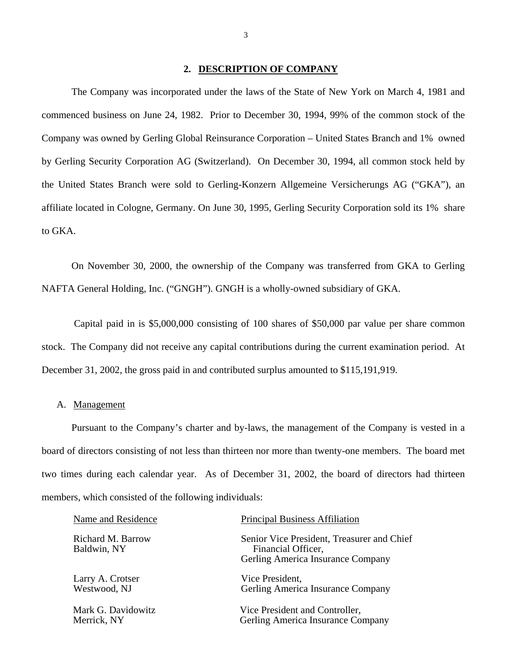## **2. DESCRIPTION OF COMPANY**

<span id="page-4-0"></span>The Company was incorporated under the laws of the State of New York on March 4, 1981 and commenced business on June 24, 1982. Prior to December 30, 1994, 99% of the common stock of the Company was owned by Gerling Global Reinsurance Corporation – United States Branch and 1% owned by Gerling Security Corporation AG (Switzerland). On December 30, 1994, all common stock held by the United States Branch were sold to Gerling-Konzern Allgemeine Versicherungs AG ("GKA"), an affiliate located in Cologne, Germany. On June 30, 1995, Gerling Security Corporation sold its 1% share to GKA.

On November 30, 2000, the ownership of the Company was transferred from GKA to Gerling NAFTA General Holding, Inc. ("GNGH"). GNGH is a wholly-owned subsidiary of GKA.

Capital paid in is \$5,000,000 consisting of 100 shares of \$50,000 par value per share common stock. The Company did not receive any capital contributions during the current examination period. At December 31, 2002, the gross paid in and contributed surplus amounted to \$115,191,919.

## A. Management

Pursuant to the Company's charter and by-laws, the management of the Company is vested in a board of directors consisting of not less than thirteen nor more than twenty-one members. The board met two times during each calendar year. As of December 31, 2002, the board of directors had thirteen members, which consisted of the following individuals:

| Name and Residence               | <b>Principal Business Affiliation</b>                                                                 |
|----------------------------------|-------------------------------------------------------------------------------------------------------|
| Richard M. Barrow<br>Baldwin, NY | Senior Vice President, Treasurer and Chief<br>Financial Officer,<br>Gerling America Insurance Company |
| Larry A. Crotser                 | Vice President,                                                                                       |
| Westwood, NJ                     | Gerling America Insurance Company                                                                     |
| Mark G. Davidowitz               | Vice President and Controller,                                                                        |
| Merrick, NY                      | Gerling America Insurance Company                                                                     |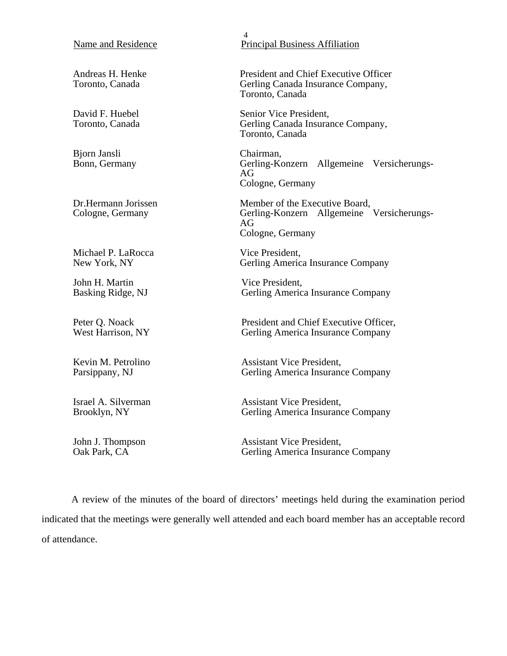#### <span id="page-5-0"></span>Name and Residence

Andreas H. Henke Toronto, Canada

David F. Huebel Toronto, Canada

Bjorn Jansli Bonn, Germany

Dr.Hermann Jorissen Cologne, Germany

Michael P. LaRocca New York, NY

John H. Martin Basking Ridge, NJ

Peter Q. Noack West Harrison, NY

Kevin M. Petrolino Parsippany, NJ

Israel A. Silverman Brooklyn, NY

John J. Thompson Oak Park, CA

4 Principal Business Affiliation

President and Chief Executive Officer Gerling Canada Insurance Company, Toronto, Canada

Senior Vice President, Gerling Canada Insurance Company, Toronto, Canada

Chairman, Gerling-Konzern Allgemeine Versicherungs-AG Cologne, Germany

Member of the Executive Board, Gerling-Konzern Allgemeine Versicherungs-AG Cologne, Germany

Vice President, Gerling America Insurance Company

Vice President, Gerling America Insurance Company

President and Chief Executive Officer, Gerling America Insurance Company

Assistant Vice President, Gerling America Insurance Company

Assistant Vice President, Gerling America Insurance Company

Assistant Vice President, Gerling America Insurance Company

A review of the minutes of the board of directors' meetings held during the examination period indicated that the meetings were generally well attended and each board member has an acceptable record of attendance.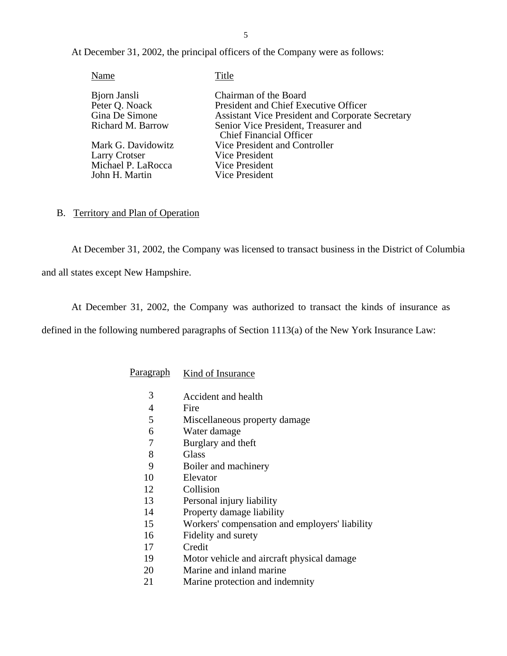At December 31, 2002, the principal officers of the Company were as follows:

| Name               | Title                                                                  |
|--------------------|------------------------------------------------------------------------|
| Bjorn Jansli       | Chairman of the Board                                                  |
| Peter Q. Noack     | President and Chief Executive Officer                                  |
| Gina De Simone     | <b>Assistant Vice President and Corporate Secretary</b>                |
| Richard M. Barrow  | Senior Vice President, Treasurer and<br><b>Chief Financial Officer</b> |
| Mark G. Davidowitz | Vice President and Controller                                          |
| Larry Crotser      | Vice President                                                         |
| Michael P. LaRocca | Vice President                                                         |
| John H. Martin     | Vice President                                                         |
|                    |                                                                        |

#### B. Territory and Plan of Operation

At December 31, 2002, the Company was licensed to transact business in the District of Columbia and all states except New Hampshire.

At December 31, 2002, the Company was authorized to transact the kinds of insurance as

defined in the following numbered paragraphs of Section 1113(a) of the New York Insurance Law:

| Paragraph | Kind of Insurance |
|-----------|-------------------|
|-----------|-------------------|

- 3 Accident and health
- 4 Fire
- 5 Miscellaneous property damage
- 6 Water damage
- 7 Burglary and theft
- 8 Glass
- 9 Boiler and machinery
- 10 Elevator
- 12 Collision
- 13 Personal injury liability
- 14 Property damage liability
- 15 Workers' compensation and employers' liability
- 16 Fidelity and surety
- 17 Credit
- 19 Motor vehicle and aircraft physical damage
- 20 Marine and inland marine
- 21 Marine protection and indemnity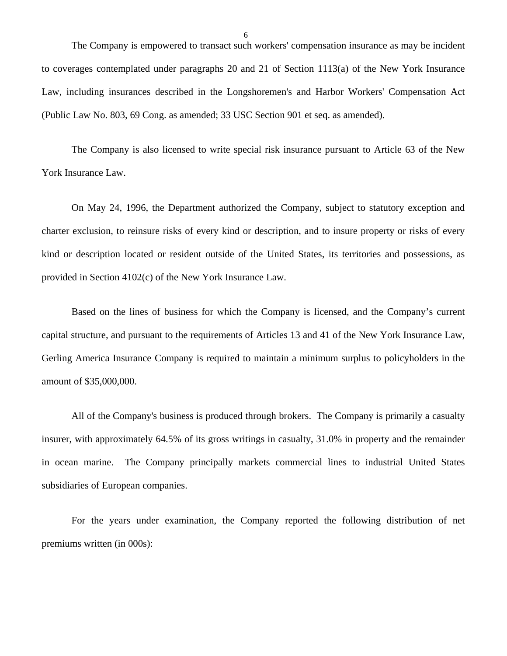The Company is empowered to transact such workers' compensation insurance as may be incident to coverages contemplated under paragraphs 20 and 21 of Section 1113(a) of the New York Insurance Law, including insurances described in the Longshoremen's and Harbor Workers' Compensation Act (Public Law No. 803, 69 Cong. as amended; 33 USC Section 901 et seq. as amended).

The Company is also licensed to write special risk insurance pursuant to Article 63 of the New York Insurance Law.

On May 24, 1996, the Department authorized the Company, subject to statutory exception and charter exclusion, to reinsure risks of every kind or description, and to insure property or risks of every kind or description located or resident outside of the United States, its territories and possessions, as provided in Section 4102(c) of the New York Insurance Law.

Based on the lines of business for which the Company is licensed, and the Company's current capital structure, and pursuant to the requirements of Articles 13 and 41 of the New York Insurance Law, Gerling America Insurance Company is required to maintain a minimum surplus to policyholders in the amount of \$35,000,000.

All of the Company's business is produced through brokers. The Company is primarily a casualty insurer, with approximately 64.5% of its gross writings in casualty, 31.0% in property and the remainder in ocean marine. The Company principally markets commercial lines to industrial United States subsidiaries of European companies.

For the years under examination, the Company reported the following distribution of net premiums written (in 000s):

6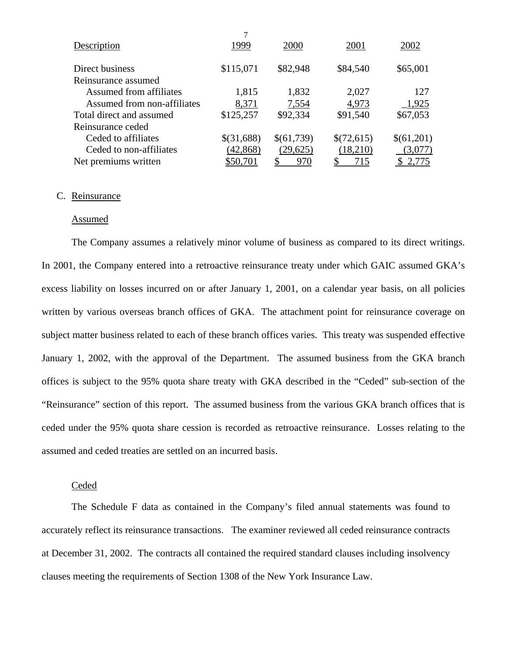| Description                 | 1999       | 2000       | 2001       | 2002         |
|-----------------------------|------------|------------|------------|--------------|
| Direct business             | \$115,071  | \$82,948   | \$84,540   | \$65,001     |
|                             |            |            |            |              |
| Reinsurance assumed         |            |            |            |              |
| Assumed from affiliates     | 1,815      | 1,832      | 2,027      | 127          |
| Assumed from non-affiliates | 8,371      | 7,554      | 4,973      | $-1,925$     |
| Total direct and assumed    | \$125,257  | \$92,334   | \$91,540   | \$67,053     |
| Reinsurance ceded           |            |            |            |              |
| Ceded to affiliates         | \$(31,688) | \$(61,739) | \$(72,615) | \$(61,201)   |
| Ceded to non-affiliates     | (42, 868)  | (29,625)   | (18,210)   | (3,077)      |
| Net premiums written        | \$50,701   | <u>970</u> | 715        | <u>2,775</u> |

#### C. Reinsurance

## Assumed

The Company assumes a relatively minor volume of business as compared to its direct writings. In 2001, the Company entered into a retroactive reinsurance treaty under which GAIC assumed GKA's excess liability on losses incurred on or after January 1, 2001, on a calendar year basis, on all policies written by various overseas branch offices of GKA. The attachment point for reinsurance coverage on subject matter business related to each of these branch offices varies. This treaty was suspended effective January 1, 2002, with the approval of the Department. The assumed business from the GKA branch offices is subject to the 95% quota share treaty with GKA described in the "Ceded" sub-section of the "Reinsurance" section of this report. The assumed business from the various GKA branch offices that is ceded under the 95% quota share cession is recorded as retroactive reinsurance. Losses relating to the assumed and ceded treaties are settled on an incurred basis.

#### Ceded

The Schedule F data as contained in the Company's filed annual statements was found to accurately reflect its reinsurance transactions. The examiner reviewed all ceded reinsurance contracts at December 31, 2002. The contracts all contained the required standard clauses including insolvency clauses meeting the requirements of Section 1308 of the New York Insurance Law.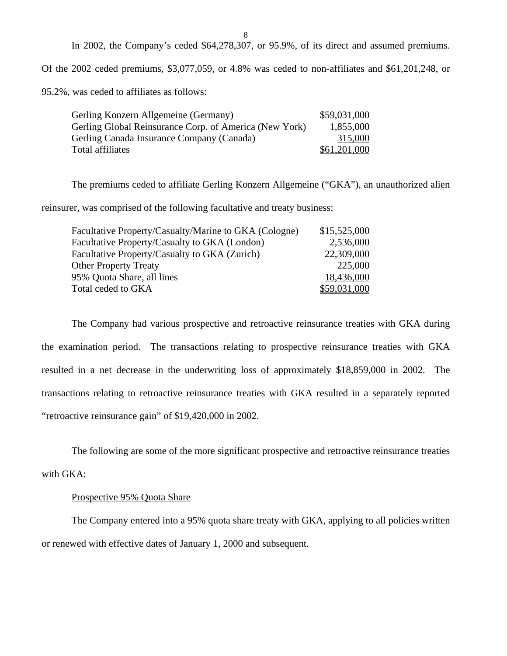8

In 2002, the Company's ceded \$64,278,307, or 95.9%, of its direct and assumed premiums.

Of the 2002 ceded premiums, \$3,077,059, or 4.8% was ceded to non-affiliates and \$61,201,248, or

95.2%, was ceded to affiliates as follows:

| Gerling Konzern Allgemeine (Germany)                   | \$59,031,000 |
|--------------------------------------------------------|--------------|
| Gerling Global Reinsurance Corp. of America (New York) | 1,855,000    |
| Gerling Canada Insurance Company (Canada)              | 315,000      |
| Total affiliates                                       | \$61,201,000 |

The premiums ceded to affiliate Gerling Konzern Allgemeine ("GKA"), an unauthorized alien

reinsurer, was comprised of the following facultative and treaty business:

| Facultative Property/Casualty/Marine to GKA (Cologne) | \$15,525,000 |
|-------------------------------------------------------|--------------|
| Facultative Property/Casualty to GKA (London)         | 2,536,000    |
| Facultative Property/Casualty to GKA (Zurich)         | 22,309,000   |
| <b>Other Property Treaty</b>                          | 225,000      |
| 95% Quota Share, all lines                            | 18,436,000   |
| Total ceded to GKA                                    | \$59,031,000 |

The Company had various prospective and retroactive reinsurance treaties with GKA during the examination period. The transactions relating to prospective reinsurance treaties with GKA resulted in a net decrease in the underwriting loss of approximately \$18,859,000 in 2002. The transactions relating to retroactive reinsurance treaties with GKA resulted in a separately reported "retroactive reinsurance gain" of \$19,420,000 in 2002.

The following are some of the more significant prospective and retroactive reinsurance treaties with GKA:

# Prospective 95% Quota Share

The Company entered into a 95% quota share treaty with GKA, applying to all policies written or renewed with effective dates of January 1, 2000 and subsequent.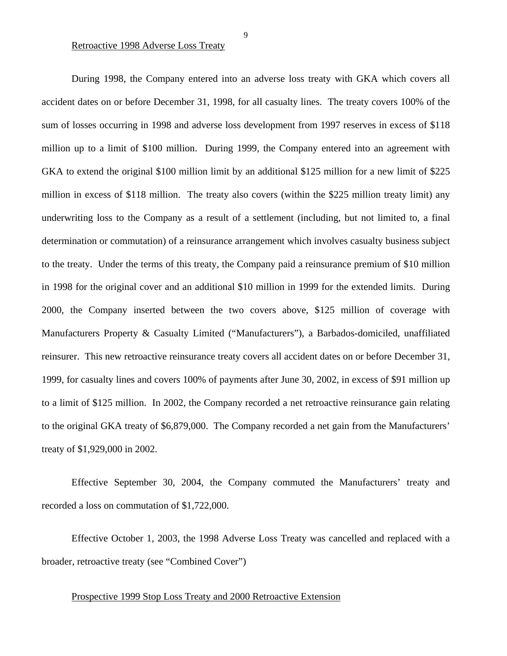Retroactive 1998 Adverse Loss Treaty

During 1998, the Company entered into an adverse loss treaty with GKA which covers all accident dates on or before December 31, 1998, for all casualty lines. The treaty covers 100% of the sum of losses occurring in 1998 and adverse loss development from 1997 reserves in excess of \$118 million up to a limit of \$100 million. During 1999, the Company entered into an agreement with GKA to extend the original \$100 million limit by an additional \$125 million for a new limit of \$225 million in excess of \$118 million. The treaty also covers (within the \$225 million treaty limit) any underwriting loss to the Company as a result of a settlement (including, but not limited to, a final determination or commutation) of a reinsurance arrangement which involves casualty business subject to the treaty. Under the terms of this treaty, the Company paid a reinsurance premium of \$10 million in 1998 for the original cover and an additional \$10 million in 1999 for the extended limits. During 2000, the Company inserted between the two covers above, \$125 million of coverage with Manufacturers Property & Casualty Limited ("Manufacturers"), a Barbados-domiciled, unaffiliated reinsurer. This new retroactive reinsurance treaty covers all accident dates on or before December 31, 1999, for casualty lines and covers 100% of payments after June 30, 2002, in excess of \$91 million up to a limit of \$125 million. In 2002, the Company recorded a net retroactive reinsurance gain relating to the original GKA treaty of \$6,879,000. The Company recorded a net gain from the Manufacturers' treaty of \$1,929,000 in 2002.

Effective September 30, 2004, the Company commuted the Manufacturers' treaty and recorded a loss on commutation of \$1,722,000.

Effective October 1, 2003, the 1998 Adverse Loss Treaty was cancelled and replaced with a broader, retroactive treaty (see "Combined Cover")

**Prospective 1999 Stop Loss Treaty and 2000 Retroactive Extension**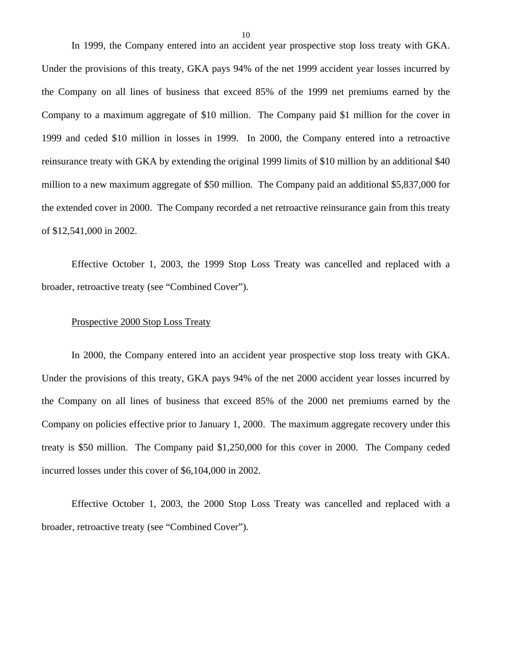<span id="page-11-0"></span>In 1999, the Company entered into an accident year prospective stop loss treaty with GKA. Under the provisions of this treaty, GKA pays 94% of the net 1999 accident year losses incurred by the Company on all lines of business that exceed 85% of the 1999 net premiums earned by the Company to a maximum aggregate of \$10 million. The Company paid \$1 million for the cover in 1999 and ceded \$10 million in losses in 1999. In 2000, the Company entered into a retroactive reinsurance treaty with GKA by extending the original 1999 limits of \$10 million by an additional \$40 million to a new maximum aggregate of \$50 million. The Company paid an additional \$5,837,000 for the extended cover in 2000. The Company recorded a net retroactive reinsurance gain from this treaty of \$12,541,000 in 2002.

Effective October 1, 2003, the 1999 Stop Loss Treaty was cancelled and replaced with a broader, retroactive treaty (see "Combined Cover").

#### Prospective 2000 Stop Loss Treaty

In 2000, the Company entered into an accident year prospective stop loss treaty with GKA. Under the provisions of this treaty, GKA pays 94% of the net 2000 accident year losses incurred by the Company on all lines of business that exceed 85% of the 2000 net premiums earned by the Company on policies effective prior to January 1, 2000. The maximum aggregate recovery under this treaty is \$50 million. The Company paid \$1,250,000 for this cover in 2000. The Company ceded incurred losses under this cover of \$6,104,000 in 2002.

Effective October 1, 2003, the 2000 Stop Loss Treaty was cancelled and replaced with a broader, retroactive treaty (see "Combined Cover").

10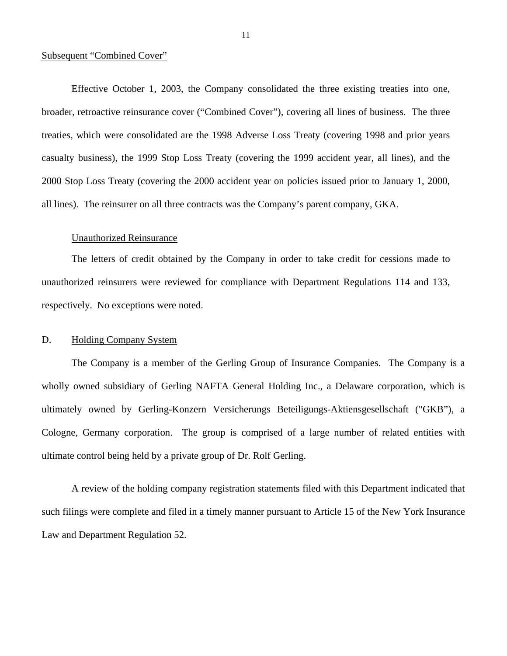#### Subsequent "Combined Cover"

Effective October 1, 2003, the Company consolidated the three existing treaties into one, broader, retroactive reinsurance cover ("Combined Cover"), covering all lines of business. The three treaties, which were consolidated are the 1998 Adverse Loss Treaty (covering 1998 and prior years casualty business), the 1999 Stop Loss Treaty (covering the 1999 accident year, all lines), and the 2000 Stop Loss Treaty (covering the 2000 accident year on policies issued prior to January 1, 2000, all lines). The reinsurer on all three contracts was the Company's parent company, GKA.

### Unauthorized Reinsurance

The letters of credit obtained by the Company in order to take credit for cessions made to unauthorized reinsurers were reviewed for compliance with Department Regulations 114 and 133, respectively. No exceptions were noted.

### D. Holding Company System

The Company is a member of the Gerling Group of Insurance Companies. The Company is a wholly owned subsidiary of Gerling NAFTA General Holding Inc., a Delaware corporation, which is ultimately owned by Gerling-Konzern Versicherungs Beteiligungs-Aktiensgesellschaft ("GKB"), a Cologne, Germany corporation. The group is comprised of a large number of related entities with ultimate control being held by a private group of Dr. Rolf Gerling.

A review of the holding company registration statements filed with this Department indicated that such filings were complete and filed in a timely manner pursuant to Article 15 of the New York Insurance Law and Department Regulation 52.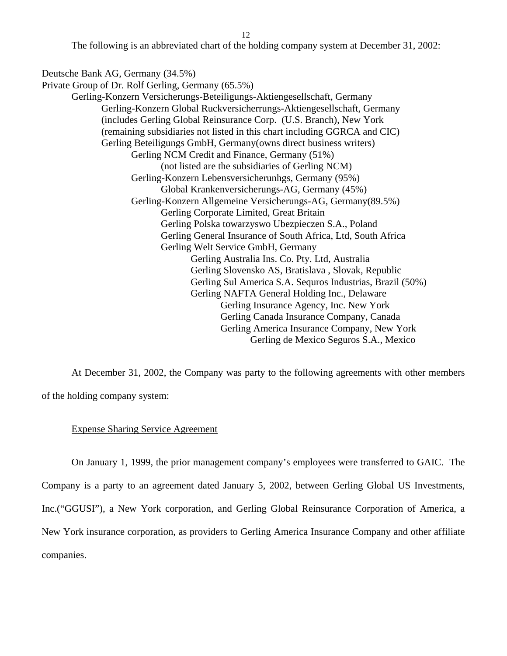12

The following is an abbreviated chart of the holding company system at December 31, 2002:

<span id="page-13-0"></span>Deutsche Bank AG, Germany (34.5%)

Private Group of Dr. Rolf Gerling, Germany (65.5%) Gerling-Konzern Versicherungs-Beteiligungs-Aktiengesellschaft, Germany Gerling-Konzern Global Ruckversicherrungs-Aktiengesellschaft, Germany (includes Gerling Global Reinsurance Corp. (U.S. Branch), New York (remaining subsidiaries not listed in this chart including GGRCA and CIC) Gerling Beteiligungs GmbH, Germany(owns direct business writers) Gerling NCM Credit and Finance, Germany (51%) (not listed are the subsidiaries of Gerling NCM) Gerling-Konzern Lebensversicherunhgs, Germany (95%) Global Krankenversicherungs-AG, Germany (45%) Gerling-Konzern Allgemeine Versicherungs-AG, Germany(89.5%) Gerling Corporate Limited, Great Britain Gerling Polska towarzyswo Ubezpieczen S.A., Poland Gerling General Insurance of South Africa, Ltd, South Africa Gerling Welt Service GmbH, Germany Gerling Australia Ins. Co. Pty. Ltd, Australia Gerling Slovensko AS, Bratislava , Slovak, Republic Gerling Sul America S.A. Sequros Industrias, Brazil (50%) Gerling NAFTA General Holding Inc., Delaware Gerling Insurance Agency, Inc. New York Gerling Canada Insurance Company, Canada Gerling America Insurance Company, New York Gerling de Mexico Seguros S.A., Mexico

At December 31, 2002, the Company was party to the following agreements with other members

of the holding company system:

### Expense Sharing Service Agreement

On January 1, 1999, the prior management company's employees were transferred to GAIC. The

Company is a party to an agreement dated January 5, 2002, between Gerling Global US Investments,

Inc.("GGUSI"), a New York corporation, and Gerling Global Reinsurance Corporation of America, a

New York insurance corporation, as providers to Gerling America Insurance Company and other affiliate

companies.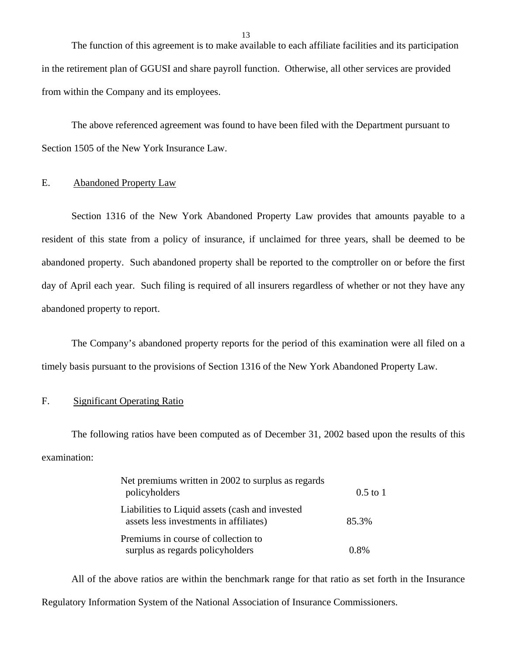<span id="page-14-0"></span>The function of this agreement is to make available to each affiliate facilities and its participation in the retirement plan of GGUSI and share payroll function. Otherwise, all other services are provided from within the Company and its employees.

The above referenced agreement was found to have been filed with the Department pursuant to Section 1505 of the New York Insurance Law.

## E. Abandoned Property Law

Section 1316 of the New York Abandoned Property Law provides that amounts payable to a resident of this state from a policy of insurance, if unclaimed for three years, shall be deemed to be abandoned property. Such abandoned property shall be reported to the comptroller on or before the first day of April each year. Such filing is required of all insurers regardless of whether or not they have any abandoned property to report.

The Company's abandoned property reports for the period of this examination were all filed on a timely basis pursuant to the provisions of Section 1316 of the New York Abandoned Property Law.

## F. Significant Operating Ratio

examination: The following ratios have been computed as of December 31, 2002 based upon the results of this examination:<br>Net premiums written in 2002 to surplus as regards

| Net premiums written in 2002 to surplus as regards<br>policyholders                       | $0.5$ to 1 |
|-------------------------------------------------------------------------------------------|------------|
| Liabilities to Liquid assets (cash and invested<br>assets less investments in affiliates) | 85.3%      |
| Premiums in course of collection to<br>surplus as regards policyholders                   | 0.8%       |

All of the above ratios are within the benchmark range for that ratio as set forth in the Insurance Regulatory Information System of the National Association of Insurance Commissioners.

13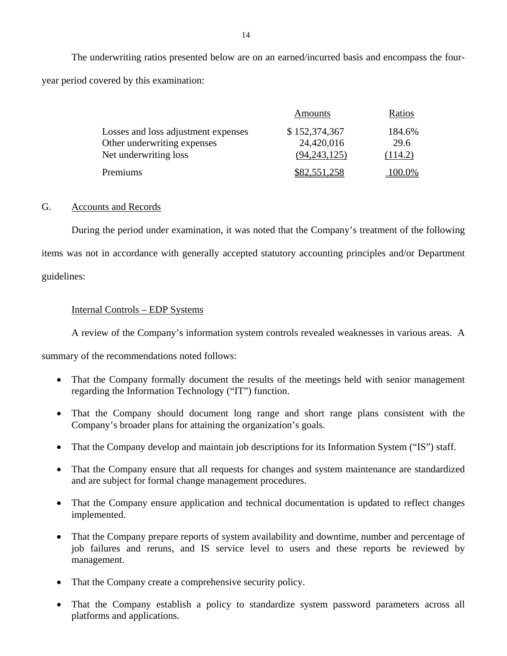The underwriting ratios presented below are on an earned/incurred basis and encompass the fouryear period covered by this examination:

|                                     | Amounts        | Ratios  |
|-------------------------------------|----------------|---------|
| Losses and loss adjustment expenses | \$152,374,367  | 184.6%  |
| Other underwriting expenses         | 24,420,016     | 29.6    |
| Net underwriting loss               | (94, 243, 125) | (114.2) |
| Premiums                            | \$82,551,258   | 100.0%  |

## G. Accounts and Records

During the period under examination, it was noted that the Company's treatment of the following items was not in accordance with generally accepted statutory accounting principles and/or Department guidelines:

## Internal Controls – EDP Systems

A review of the Company's information system controls revealed weaknesses in various areas. A

summary of the recommendations noted follows:

- That the Company formally document the results of the meetings held with senior management regarding the Information Technology ("IT") function.
- That the Company should document long range and short range plans consistent with the Company's broader plans for attaining the organization's goals.
- That the Company develop and maintain job descriptions for its Information System ("IS") staff.
- That the Company ensure that all requests for changes and system maintenance are standardized and are subject for formal change management procedures.
- That the Company ensure application and technical documentation is updated to reflect changes implemented.
- That the Company prepare reports of system availability and downtime, number and percentage of job failures and reruns, and IS service level to users and these reports be reviewed by management.
- That the Company create a comprehensive security policy.
- That the Company establish a policy to standardize system password parameters across all platforms and applications.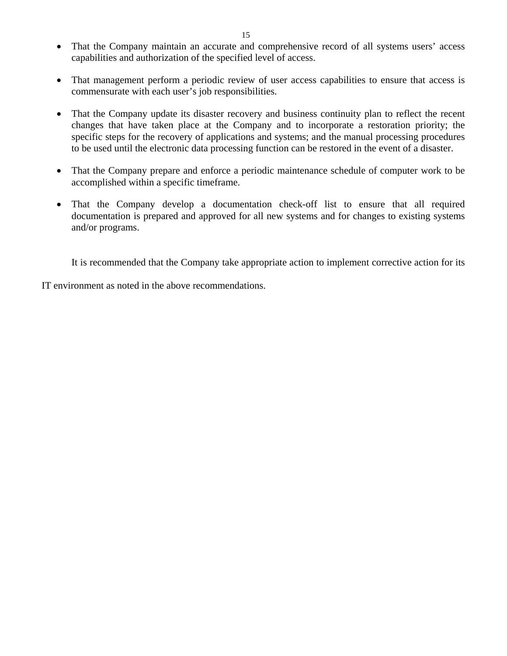- That the Company maintain an accurate and comprehensive record of all systems users' access capabilities and authorization of the specified level of access.
- That management perform a periodic review of user access capabilities to ensure that access is commensurate with each user's job responsibilities.
- That the Company update its disaster recovery and business continuity plan to reflect the recent changes that have taken place at the Company and to incorporate a restoration priority; the specific steps for the recovery of applications and systems; and the manual processing procedures to be used until the electronic data processing function can be restored in the event of a disaster.
- That the Company prepare and enforce a periodic maintenance schedule of computer work to be accomplished within a specific timeframe.
- That the Company develop a documentation check-off list to ensure that all required documentation is prepared and approved for all new systems and for changes to existing systems and/or programs.

It is recommended that the Company take appropriate action to implement corrective action for its

IT environment as noted in the above recommendations.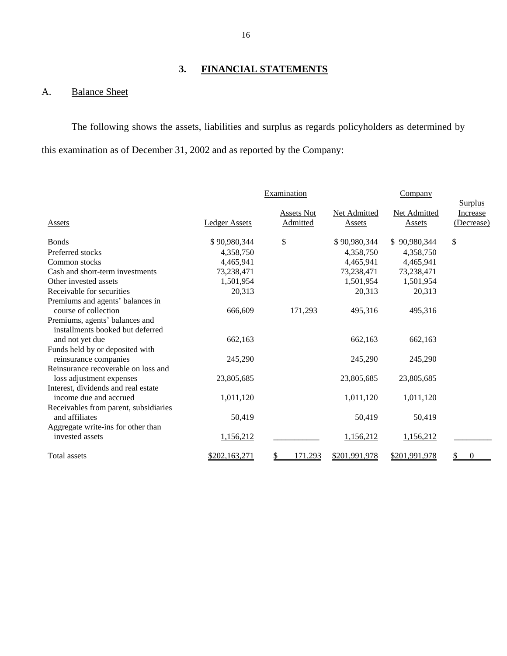## **3. FINANCIAL STATEMENTS**

## <span id="page-17-0"></span>A. Balance Sheet

The following shows the assets, liabilities and surplus as regards policyholders as determined by this examination as of December 31, 2002 and as reported by the Company:

|                                       |                      | Examination   |               | Company       |                            |
|---------------------------------------|----------------------|---------------|---------------|---------------|----------------------------|
|                                       |                      | Assets Not    | Net Admitted  | Net Admitted  | <b>Surplus</b><br>Increase |
| Assets                                | <b>Ledger Assets</b> | Admitted      | Assets        | Assets        | (Decrease)                 |
| <b>Bonds</b>                          | \$90,980,344         | \$            | \$90,980,344  | \$90,980,344  | \$                         |
| Preferred stocks                      | 4,358,750            |               | 4,358,750     | 4,358,750     |                            |
|                                       |                      |               |               |               |                            |
| Common stocks                         | 4,465,941            |               | 4,465,941     | 4,465,941     |                            |
| Cash and short-term investments       | 73,238,471           |               | 73,238,471    | 73,238,471    |                            |
| Other invested assets                 | 1,501,954            |               | 1,501,954     | 1,501,954     |                            |
| Receivable for securities             | 20,313               |               | 20,313        | 20,313        |                            |
| Premiums and agents' balances in      |                      |               |               |               |                            |
| course of collection                  | 666,609              | 171,293       | 495,316       | 495,316       |                            |
| Premiums, agents' balances and        |                      |               |               |               |                            |
| installments booked but deferred      |                      |               |               |               |                            |
| and not yet due                       | 662,163              |               | 662,163       | 662,163       |                            |
| Funds held by or deposited with       |                      |               |               |               |                            |
| reinsurance companies                 | 245,290              |               | 245,290       | 245,290       |                            |
| Reinsurance recoverable on loss and   |                      |               |               |               |                            |
| loss adjustment expenses              | 23,805,685           |               | 23,805,685    | 23,805,685    |                            |
| Interest, dividends and real estate   |                      |               |               |               |                            |
| income due and accrued                | 1,011,120            |               | 1,011,120     | 1,011,120     |                            |
| Receivables from parent, subsidiaries |                      |               |               |               |                            |
| and affiliates                        | 50,419               |               | 50,419        | 50,419        |                            |
| Aggregate write-ins for other than    |                      |               |               |               |                            |
| invested assets                       | 1,156,212            |               | 1,156,212     | 1,156,212     |                            |
| Total assets                          | \$202,163,271        | \$<br>171,293 | \$201,991,978 | \$201,991,978 | \$                         |
|                                       |                      |               |               |               |                            |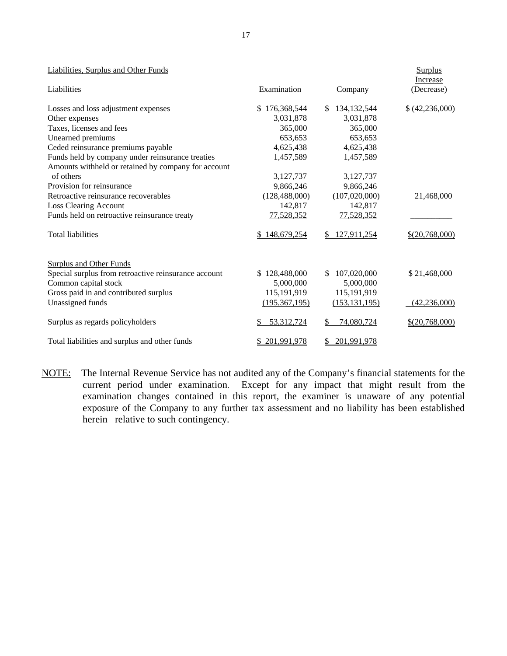#### Liabilities, Surplus and Other Funds

| Liabilities                                          | Examination        | Company                        | Increase<br>(Decrease) |
|------------------------------------------------------|--------------------|--------------------------------|------------------------|
| Losses and loss adjustment expenses                  | 176,368,544<br>\$. | 134, 132, 544<br><sup>\$</sup> | (42, 236, 000)         |
| Other expenses                                       | 3,031,878          | 3,031,878                      |                        |
| Taxes, licenses and fees                             | 365,000            | 365,000                        |                        |
| Unearned premiums                                    | 653,653            | 653,653                        |                        |
| Ceded reinsurance premiums payable                   | 4,625,438          | 4,625,438                      |                        |
| Funds held by company under reinsurance treaties     | 1,457,589          | 1,457,589                      |                        |
| Amounts withheld or retained by company for account  |                    |                                |                        |
| of others                                            | 3,127,737          | 3,127,737                      |                        |
| Provision for reinsurance                            | 9,866,246          | 9,866,246                      |                        |
| Retroactive reinsurance recoverables                 | (128, 488, 000)    | (107,020,000)                  | 21,468,000             |
| <b>Loss Clearing Account</b>                         | 142,817            | 142,817                        |                        |
| Funds held on retroactive reinsurance treaty         | 77,528,352         | 77,528,352                     |                        |
| <b>Total liabilities</b>                             | \$148,679,254      | 127,911,254<br>$\mathbb{S}^-$  | $$$ (20,768,000)       |
| <b>Surplus and Other Funds</b>                       |                    |                                |                        |
| Special surplus from retroactive reinsurance account | 128,488,000        | 107,020,000<br>\$.             | \$21,468,000           |
| Common capital stock                                 | 5,000,000          | 5,000,000                      |                        |
| Gross paid in and contributed surplus                | 115,191,919        | 115,191,919                    |                        |
| Unassigned funds                                     | (195, 367, 195)    | (153, 131, 195)                | (42, 236, 000)         |
| Surplus as regards policyholders                     | 53,312,724<br>S    | 74,080,724<br>\$               | $$$ (20,768,000)       |
| Total liabilities and surplus and other funds        | \$201,991,978      | 201,991,978<br>\$              |                        |

NOTE: The Internal Revenue Service has not audited any of the Company's financial statements for the current period under examination. Except for any impact that might result from the examination changes contained in this report, the examiner is unaware of any potential exposure of the Company to any further tax assessment and no liability has been established herein relative to such contingency.

Surplus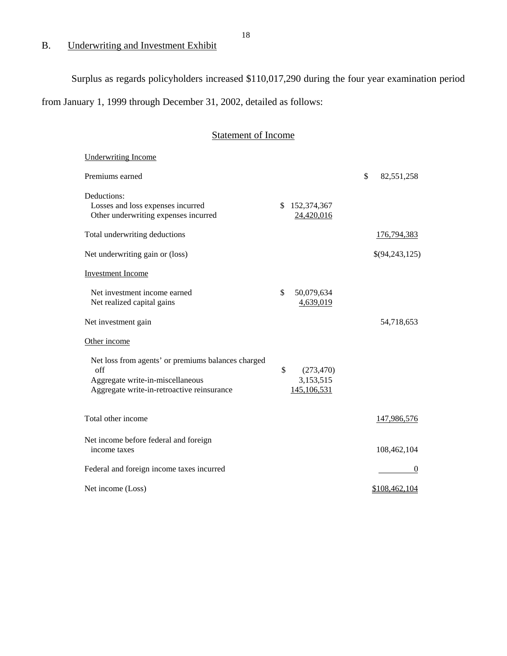# B. Underwriting and Investment Exhibit

Surplus as regards policyholders increased \$110,017,290 during the four year examination period

from January 1, 1999 through December 31, 2002, detailed as follows:

| <b>Statement of Income</b>                                                                                                                  |                                              |                            |  |
|---------------------------------------------------------------------------------------------------------------------------------------------|----------------------------------------------|----------------------------|--|
| <b>Underwriting Income</b>                                                                                                                  |                                              |                            |  |
| Premiums earned                                                                                                                             |                                              | $\mathbb{S}$<br>82,551,258 |  |
| Deductions:<br>Losses and loss expenses incurred<br>Other underwriting expenses incurred                                                    | 152,374,367<br>S.<br>24,420,016              |                            |  |
| Total underwriting deductions                                                                                                               |                                              | 176,794,383                |  |
| Net underwriting gain or (loss)                                                                                                             |                                              | \$(94,243,125)             |  |
| <b>Investment Income</b>                                                                                                                    |                                              |                            |  |
| Net investment income earned<br>Net realized capital gains                                                                                  | \$<br>50,079,634<br>4,639,019                |                            |  |
| Net investment gain                                                                                                                         |                                              | 54,718,653                 |  |
| Other income                                                                                                                                |                                              |                            |  |
| Net loss from agents' or premiums balances charged<br>off<br>Aggregate write-in-miscellaneous<br>Aggregate write-in-retroactive reinsurance | \$<br>(273, 470)<br>3,153,515<br>145,106,531 |                            |  |
| Total other income                                                                                                                          |                                              | 147,986,576                |  |
| Net income before federal and foreign<br>income taxes                                                                                       |                                              | 108,462,104                |  |
| Federal and foreign income taxes incurred                                                                                                   |                                              | $\bf{0}$                   |  |
| Net income (Loss)                                                                                                                           |                                              | \$108,462,104              |  |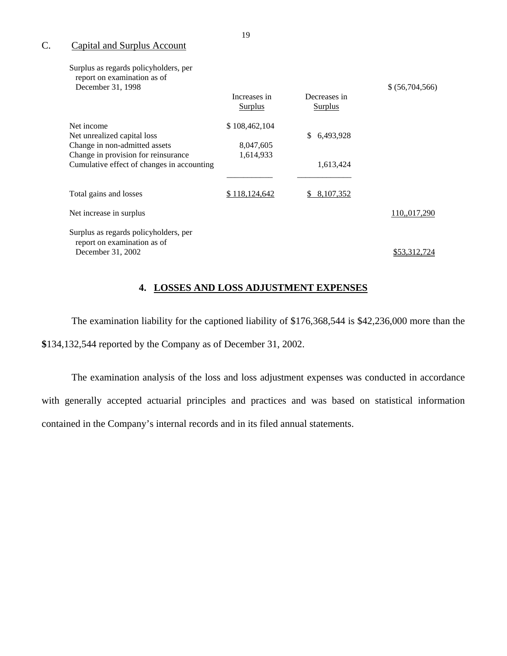## C. Capital and Surplus Account

| Surplus as regards policyholders, per<br>report on examination as of<br>December 31, 1998 |                                |                                | \$ (56,704,566) |
|-------------------------------------------------------------------------------------------|--------------------------------|--------------------------------|-----------------|
|                                                                                           | Increases in<br><b>Surplus</b> | Decreases in<br><b>Surplus</b> |                 |
| Net income                                                                                | \$108,462,104                  |                                |                 |
| Net unrealized capital loss                                                               |                                | 6,493,928<br>\$.               |                 |
| Change in non-admitted assets                                                             | 8,047,605                      |                                |                 |
| Change in provision for reinsurance                                                       | 1,614,933                      |                                |                 |
| Cumulative effect of changes in accounting                                                |                                | 1,613,424                      |                 |
|                                                                                           |                                |                                |                 |
| Total gains and losses                                                                    | \$118,124,642                  | 8,107,352<br>\$.               |                 |
| Net increase in surplus                                                                   |                                |                                | 110,,017,290    |
| Surplus as regards policyholders, per<br>report on examination as of                      |                                |                                |                 |
| December 31, 2002                                                                         |                                |                                | \$53.312.724    |
|                                                                                           |                                |                                |                 |

## **4. LOSSES AND LOSS ADJUSTMENT EXPENSES**

The examination liability for the captioned liability of \$176,368,544 is \$42,236,000 more than the **\$**134,132,544 reported by the Company as of December 31, 2002.

The examination analysis of the loss and loss adjustment expenses was conducted in accordance with generally accepted actuarial principles and practices and was based on statistical information contained in the Company's internal records and in its filed annual statements.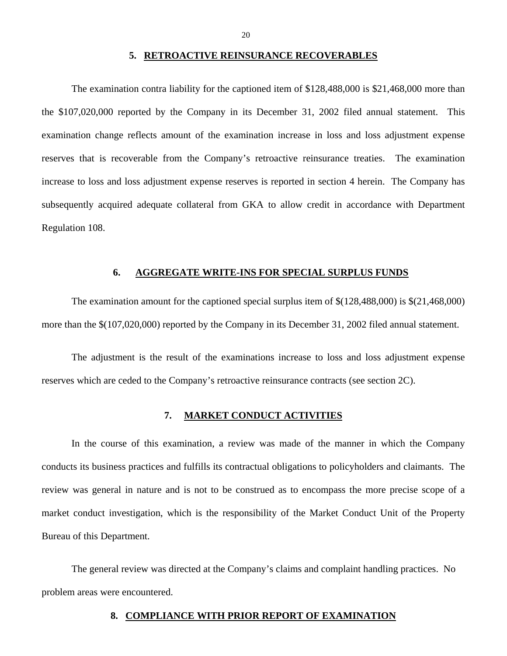#### **5. RETROACTIVE REINSURANCE RECOVERABLES**

<span id="page-21-0"></span>The examination contra liability for the captioned item of \$128,488,000 is \$21,468,000 more than the \$107,020,000 reported by the Company in its December 31, 2002 filed annual statement. This examination change reflects amount of the examination increase in loss and loss adjustment expense reserves that is recoverable from the Company's retroactive reinsurance treaties. The examination increase to loss and loss adjustment expense reserves is reported in section 4 herein. The Company has subsequently acquired adequate collateral from GKA to allow credit in accordance with Department Regulation 108.

#### **6. AGGREGATE WRITE-INS FOR SPECIAL SURPLUS FUNDS**

The examination amount for the captioned special surplus item of \$(128,488,000) is \$(21,468,000) more than the \$(107,020,000) reported by the Company in its December 31, 2002 filed annual statement.

The adjustment is the result of the examinations increase to loss and loss adjustment expense reserves which are ceded to the Company's retroactive reinsurance contracts (see section 2C).

## **7. MARKET CONDUCT ACTIVITIES**

In the course of this examination, a review was made of the manner in which the Company conducts its business practices and fulfills its contractual obligations to policyholders and claimants. The review was general in nature and is not to be construed as to encompass the more precise scope of a market conduct investigation, which is the responsibility of the Market Conduct Unit of the Property Bureau of this Department.

The general review was directed at the Company's claims and complaint handling practices. No problem areas were encountered.

#### **8. COMPLIANCE WITH PRIOR REPORT OF EXAMINATION**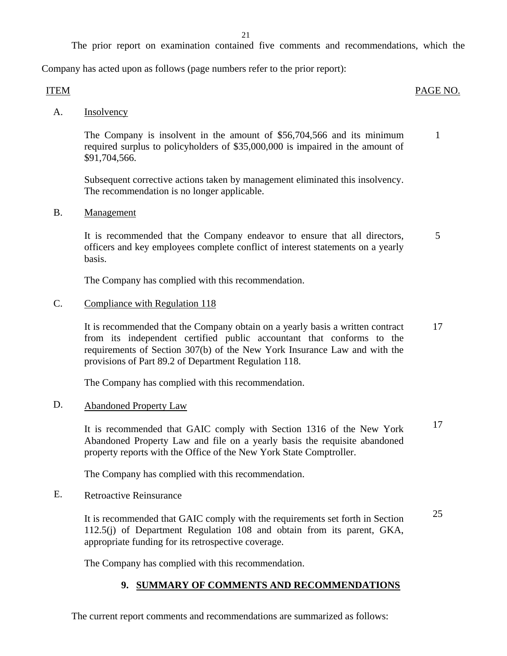21

The prior report on examination contained five comments and recommendations, which the

<span id="page-22-0"></span>Company has acted upon as follows (page numbers refer to the prior report):

## ITEM PAGE NO.

A. Insolvency

The Company is insolvent in the amount of \$56,704,566 and its minimum 1 required surplus to policyholders of \$35,000,000 is impaired in the amount of \$91,704,566.

Subsequent corrective actions taken by management eliminated this insolvency. The recommendation is no longer applicable.

B. Management

It is recommended that the Company endeavor to ensure that all directors,  $\frac{5}{5}$ officers and key employees complete conflict of interest statements on a yearly basis.

The Company has complied with this recommendation.

## C. Compliance with Regulation 118

It is recommended that the Company obtain on a yearly basis a written contract 17 from its independent certified public accountant that conforms to the requirements of Section 307(b) of the New York Insurance Law and with the provisions of Part 89.2 of Department Regulation 118.

The Company has complied with this recommendation.

## D. Abandoned Property Law

It is recommended that GAIC comply with Section 1316 of the New York 17 Abandoned Property Law and file on a yearly basis the requisite abandoned property reports with the Office of the New York State Comptroller.

The Company has complied with this recommendation.

E. Retroactive Reinsurance

It is recommended that GAIC comply with the requirements set forth in Section 25 112.5(j) of Department Regulation 108 and obtain from its parent, GKA, appropriate funding for its retrospective coverage.

The Company has complied with this recommendation.

## **9. SUMMARY OF COMMENTS AND RECOMMENDATIONS**

The current report comments and recommendations are summarized as follows: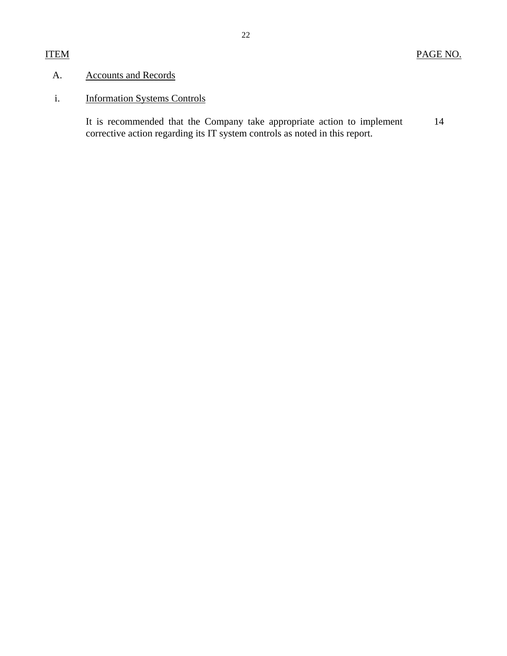## <span id="page-23-0"></span>A. Accounts and Records

# i. Information Systems Controls

14 It is recommended that the Company take appropriate action to implement corrective action regarding its IT system controls as noted in this report.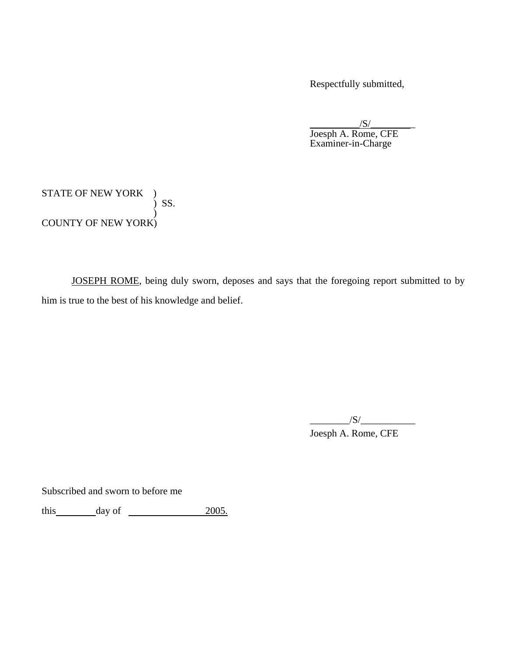Respectfully submitted,

 $\sqrt{S/2}$  Joesph A. Rome, CFE Examiner-in-Charge

STATE OF NEW YORK ) ) SS. ) COUNTY OF NEW YORK)

JOSEPH ROME, being duly sworn, deposes and says that the foregoing report submitted to by him is true to the best of his knowledge and belief.

 Joesph A. Rome, CFE  $\sqrt{S}/\sqrt{S}$ 

Subscribed and sworn to before me

this day of 2005.